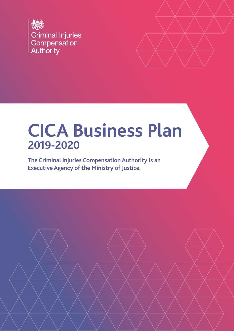



# **CICA Business Plan 2019-2020**

**The Criminal Injuries Compensation Authority is an Executive Agency of the Ministry of Justice.**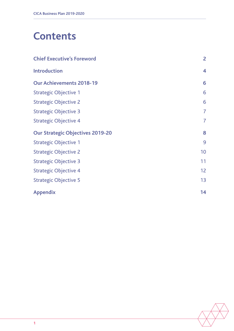## **Contents**

| <b>Chief Executive's Foreword</b>       | $\overline{2}$          |
|-----------------------------------------|-------------------------|
| <b>Introduction</b>                     | $\overline{\mathbf{4}}$ |
| <b>Our Achievements 2018-19</b>         | 6                       |
| <b>Strategic Objective 1</b>            | 6                       |
| <b>Strategic Objective 2</b>            | 6                       |
| <b>Strategic Objective 3</b>            | $\overline{7}$          |
| <b>Strategic Objective 4</b>            | $\overline{7}$          |
| <b>Our Strategic Objectives 2019-20</b> | 8                       |
| <b>Strategic Objective 1</b>            | 9                       |
| <b>Strategic Objective 2</b>            | 10                      |
| <b>Strategic Objective 3</b>            | 11                      |
| <b>Strategic Objective 4</b>            | 12                      |
| <b>Strategic Objective 5</b>            | 13                      |
| <b>Appendix</b>                         | 14                      |

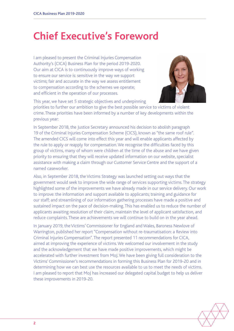## <span id="page-2-0"></span>**Chief Executive's Foreword**

I am pleased to present the Criminal Injuries Compensation Authority's (CICA) Business Plan for the period 2019-2020. Our aim at CICA is to continuously improve ways of working to ensure our service is: sensitive in the way we support victims; fair and accurate in the way we assess entitlement to compensation according to the schemes we operate; and efficient in the operation of our processes.



This year, we have set 5 strategic objectives and underpinning

priorities to further our ambition to give the best possible service to victims of violent crime.These priorities have been informed by a number of key developments within the previous year:

In September 2018, the Justice Secretary announced his decision to abolish paragraph 19 of the Criminal Injuries Compensation Scheme (CICS), known as "the same roof rule". The amended CICS will come into effect this year and will enable applicants affected by the rule to apply or reapply for compensation. We recognise the difficulties faced by this group of victims, many of whom were children at the time of the abuse and we have given priority to ensuring that they will receive updated information on our website, specialist assistance with making a claim through our Customer Service Centre and the support of a named caseworker.

Also, in September 2018, the Victims Strategy was launched setting out ways that the government would seek to improve the wide range of services supporting victims. The strategy highlighted some of the improvements we have already made in our service delivery. Our work to improve: the information and support available to applicants; training and guidance for our staff; and streamlining of our information gathering processes have made a positive and sustained impact on the pace of decision-making. This has enabled us to reduce the number of applicants awaiting resolution of their claim, maintain the level of applicant satisfaction, and reduce complaints. These are achievements we will continue to build on in the year ahead.

In January 2019, the Victims' Commissioner for England and Wales, Baroness Newlove of Warrington, published her report "Compensation without re-traumatisation: a Review into Criminal Injuries Compensation". The report presented 11 recommendations for CICA, aimed at improving the experience of victims. We welcomed our involvement in the study and the acknowledgement that we have made positive improvements, which might be accelerated with further investment from MoJ. We have been giving full consideration to the Victims' Commissioner's recommendations in forming this Business Plan for 2019-20 and in determining how we can best use the resources available to us to meet the needs of victims. I am pleased to report that MoJ has increased our delegated capital budget to help us deliver these improvements in 2019-20.

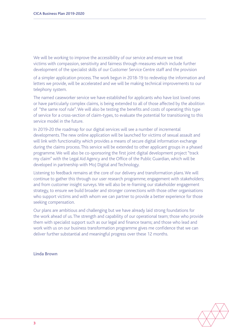We will be working to improve the accessibility of our service and ensure we treat victims with compassion, sensitivity and fairness through measures which include further development of the specialist skills of our Customer Service Centre staff and the provision

of a simpler application process. The work begun in 2018-19 to redevelop the information and letters we provide, will be accelerated and we will be making technical improvements to our telephony system.

The named caseworker service we have established for applicants who have lost loved ones or have particularly complex claims, is being extended to all of those affected by the abolition of "the same roof rule". We will also be testing the benefits and costs of operating this type of service for a cross-section of claim-types, to evaluate the potential for transitioning to this service model in the future.

In 2019-20 the roadmap for our digital services will see a number of incremental developments. The new online application will be launched for victims of sexual assault and will link with functionality which provides a means of secure digital information exchange during the claims process. This service will be extended to other applicant groups in a phased programme. We will also be co-sponsoring the first joint digital development project "track my claim" with the Legal Aid Agency and the Office of the Public Guardian, which will be developed in partnership with MoJ Digital and Technology.

Listening to feedback remains at the core of our delivery and transformation plans. We will continue to gather this through our user research programme; engagement with stakeholders; and from customer insight surveys. We will also be re-framing our stakeholder engagement strategy, to ensure we build broader and stronger connections with those other organisations who support victims and with whom we can partner to provide a better experience for those seeking compensation.

Our plans are ambitious and challenging but we have already laid strong foundations for the work ahead of us. The strength and capability of our operational team; those who provide them with specialist support such as our legal and finance teams; and those who lead and work with us on our business transformation programme gives me confidence that we can deliver further substantial and meaningful progress over these 12 months.

**Linda Brown**

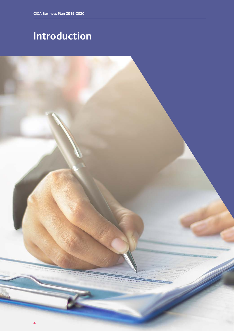# <span id="page-4-0"></span>**Introduction**

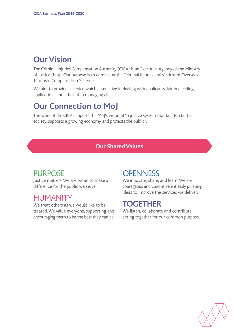## **Our Vision**

The Criminal Injuries Compensation Authority (CICA) is an Executive Agency of the Ministry of Justice (MoJ). Our purpose is to administer the Criminal Injuries and Victims of Overseas Terrorism Compensation Schemes.

We aim to provide a service which is sensitive in dealing with applicants, fair in deciding applications and efficient in managing all cases.

### **Our Connection to MoJ**

The work of the CICA supports the MoJ's vision of "a justice system that builds a better society, supports a growing economy and protects the public".

#### **Our Shared Values**

### PURPOSE

Justice matters. We are proud to make a difference for the public we serve.

### **HUMANITY**

We treat others as we would like to be treated. We value everyone, supporting and encouraging them to be the best they can be.

### **OPENNESS**

We innovate, share, and learn. We are courageous and curious, relentlessly pursuing ideas to improve the services we deliver.

### **TOGETHER**

We listen, collaborate and contribute, acting together for our common purpose.

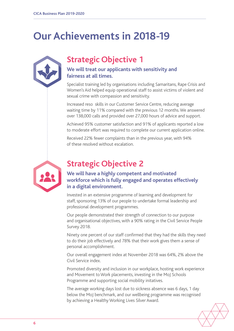## <span id="page-6-0"></span>**Our Achievements in 2018-19**

### **Strategic Objective 1**

#### **We will treat our applicants with sensitivity and fairness at all times.**

Specialist training led by organisations including Samaritans, Rape Crisis and Women's Aid helped equip operational staff to assist victims of violent and sexual crime with compassion and sensitivity.

Increased reso skills in our Customer Service Centre, reducing average waiting time by 11% compared with the previous 12 months. We answered over 138,000 calls and provided over 27,000 hours of advice and support.

Achieved 95% customer satisfaction and 91% of applicants reported a low to moderate effort was required to complete our current application online.

Received 22% fewer complaints than in the previous year, with 94% of these resolved without escalation.



### **Strategic Objective 2**

#### **We will have a highly competent and motivated workforce which is fully engaged and operates effectively in a digital environment.**

Invested in an extensive programme of learning and development for staff, sponsoring 13% of our people to undertake formal leadership and professional development programmes.

Our people demonstrated their strength of connection to our purpose and organisational objectives, with a 90% rating in the Civil Service People Survey 2018.

Ninety one percent of our staff confirmed that they had the skills they need to do their job effectively and 78% that their work gives them a sense of personal accomplishment.

Our overall engagement index at November 2018 was 64%, 2% above the Civil Service index.

Promoted diversity and inclusion in our workplace, hosting work experience and Movement to Work placements, investing in the MoJ Schools Programme and supporting social mobility initatives.

The average working days lost due to sickness absence was 6 days, 1 day below the MoJ benchmark, and our wellbeing programme was recognised by achieving a Healthy Working Lives Silver Award.

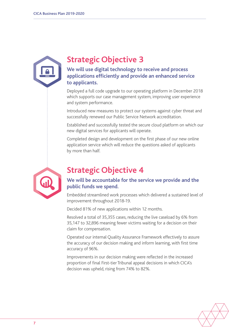<span id="page-7-0"></span>**We will use digital technology to receive and process applications efficiently and provide an enhanced service to applicants.**

Deployed a full code upgrade to our operating platform in December 2018 which supports our case management system, improving user experience and system performance.

Introduced new measures to protect our systems against cyber threat and successfully renewed our Public Service Network accreditation.

Established and successfully tested the secure cloud platform on which our new digital services for applicants will operate.

Completed design and development on the first phase of our new online application service which will reduce the questions asked of applicants by more than half.



### **Strategic Objective 4**

**We will be accountable for the service we provide and the public funds we spend.** 

Embedded streamlined work processes which delivered a sustained level of improvement throughout 2018-19.

Decided 81% of new applications within 12 months.

Resolved a total of 35,355 cases, reducing the live caseload by 6% from 35,147 to 32,896 meaning fewer victims waiting for a decision on their claim for compensation.

Operated our internal Quality Assurance Framework effectively to assure the accuracy of our decision making and inform learning, with first time accuracy of 96%.

Improvements in our decision making were reflected in the increased proportion of final First-tier Tribunal appeal decisions in which CICA's decision was upheld, rising from 74% to 82%.

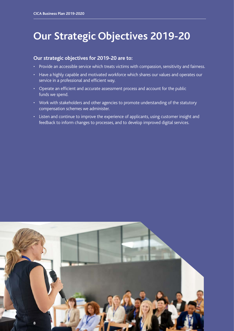## <span id="page-8-0"></span>**Our Strategic Objectives 2019-20**

#### **Our strategic objectives for 2019-20 are to:**

- Provide an accessible service which treats victims with compassion, sensitivity and fairness.
- Have a highly capable and motivated workforce which shares our values and operates our service in a professional and efficient way.
- Operate an efficient and accurate assessment process and account for the public funds we spend.
- Work with stakeholders and other agencies to promote understanding of the statutory compensation schemes we administer.
- Listen and continue to improve the experience of applicants, using customer insight and feedback to inform changes to processes, and to develop improved digital services.

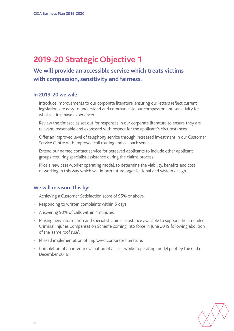### <span id="page-9-0"></span>**We will provide an accessible service which treats victims with compassion, sensitivity and fairness.**

#### **In 2019-20 we will:**

- Introduce improvements to our corporate literature, ensuring our letters reflect current legislation, are easy to understand and communicate our compassion and sensitivity for what victims have experienced.
- Review the timescales set out for responses in our corporate literature to ensure they are relevant, reasonable and expressed with respect for the applicant's circumstances.
- Offer an improved level of telephony service through increased investment in our Customer Service Centre with improved call routing and callback service.
- Extend our named contact service for bereaved applicants to include other applicant groups requiring specialist assistance during the claims process.
- Pilot a new case-worker operating model, to determine the viability, benefits and cost of working in this way which will inform future organisational and system design.

- Achieving a Customer Satisfaction score of 95% or above.
- Responding to written complaints within 5 days.
- Answering 90% of calls within 4 minutes.
- Making new information and specialist claims assistance available to support the amended Criminal Injuries Compensation Scheme coming into force in June 2019 following abolition of the 'same roof rule'.
- Phased implementation of improved corporate literature.
- Completion of an interim evaluation of a case-worker operating model pilot by the end of December 2019.

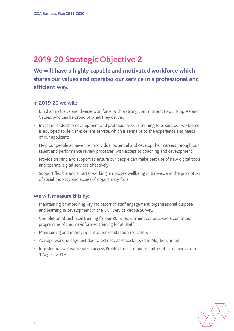### <span id="page-10-0"></span>**We will have a highly capable and motivated workforce which shares our values and operates our service in a professional and efficient way.**

#### **In 2019-20 we will:**

- Build an inclusive and diverse workforce, with a strong commitment to our Purpose and Values, who can be proud of what they deliver.
- Invest in leadership development and professional skills training to ensure our workforce is equipped to deliver excellent service, which is sensitive to the experience and needs of our applicants.
- Help our people achieve their individual potential and develop their careers through our talent and performance review processes, with access to coaching and development.
- Provide training and support to ensure our people can make best use of new digital tools and operate digital services effectively.
- Support flexible and smarter working, employee wellbeing initiatives, and the promotion of social mobility and access of opportunity for all.

- Maintaining or improving key indicators of staff engagement, organisational purpose, and learning & development in the Civil Service People Survey.
- Completion of technical training for our 2019 recruitment cohorts, and a continued programme of trauma-informed training for all staff.
- Maintaining and improving customer satisfaction indicators.
- Average working days lost due to sickness absence below the MoJ benchmark.
- Introduction of Civil Service Success Profiles for all of our recruitment campaigns from 1 August 2019.

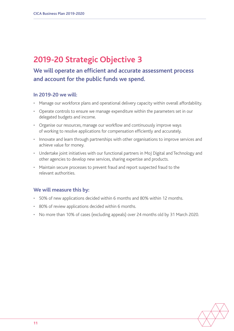#### <span id="page-11-0"></span>**We will operate an efficient and accurate assessment process and account for the public funds we spend.**

#### **In 2019-20 we will:**

- Manage our workforce plans and operational delivery capacity within overall affordability.
- Operate controls to ensure we manage expenditure within the parameters set in our delegated budgets and income.
- Organise our resources, manage our workflow and continuously improve ways of working to resolve applications for compensation efficiently and accurately.
- Innovate and learn through partnerships with other organisations to improve services and achieve value for money.
- Undertake joint initiatives with our functional partners in MoJ Digital and Technology and other agencies to develop new services, sharing expertise and products.
- Maintain secure processes to prevent fraud and report suspected fraud to the relevant authorities.

- 50% of new applications decided within 6 months and 80% within 12 months.
- 80% of review applications decided within 6 months.
- No more than 10% of cases (excluding appeals) over 24 months old by 31 March 2020.

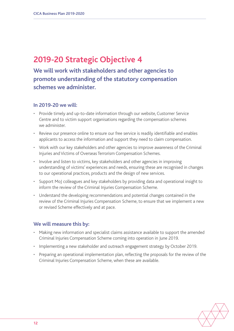<span id="page-12-0"></span>**We will work with stakeholders and other agencies to promote understanding of the statutory compensation schemes we administer.** 

#### **In 2019-20 we will:**

- Provide timely and up-to-date information through our website, Customer Service Centre and to victim support organisations regarding the compensation schemes we administer.
- Review our presence online to ensure our free service is readily identifiable and enables applicants to access the information and support they need to claim compensation.
- Work with our key stakeholders and other agencies to improve awareness of the Criminal Injuries and Victims of Overseas Terrorism Compensation Schemes.
- Involve and listen to victims, key stakeholders and other agencies in improving understanding of victims' experiences and needs, ensuring these are recognised in changes to our operational practices, products and the design of new services.
- Support MoJ colleagues and key stakeholders by providing data and operational insight to inform the review of the Criminal Injuries Compensation Scheme.
- Understand the developing recommendations and potential changes contained in the review of the Criminal Injuries Compensation Scheme, to ensure that we implement a new or revised Scheme effectively and at pace.

- Making new information and specialist claims assistance available to support the amended Criminal Injuries Compensation Scheme coming into operation in June 2019.
- Implementing a new stakeholder and outreach engagement strategy by October 2019.
- Preparing an operational implementation plan, reflecting the proposals for the review of the Criminal Injuries Compensation Scheme, when these are available.

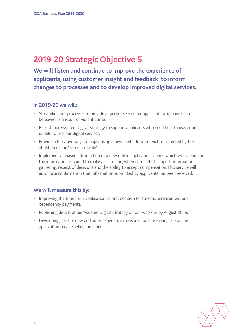<span id="page-13-0"></span>**We will listen and continue to improve the experience of applicants, using customer insight and feedback, to inform changes to processes and to develop improved digital services.**

#### **In 2019-20 we will:**

- Streamline our processes to provide a quicker service for applicants who have been bereaved as a result of violent crime.
- Refresh our Assisted Digital Strategy to support applicants who need help to use, or are unable to use, our digital services.
- Provide alternative ways to apply using a new digital form for victims affected by the abolition of the "same roof rule".
- Implement a phased introduction of a new online application service which will streamline the information required to make a claim and, when completed, support information gathering, receipt of decisions and the ability to accept compensation. This service will automate confirmation that information submitted by applicants has been received.

- Improving the time from application to first decision for funeral, bereavement and dependency payments.
- Publishing details of our Assisted Digital Strategy on our web site by August 2019.
- Developing a set of new customer experience measures for those using the online application service, when launched.

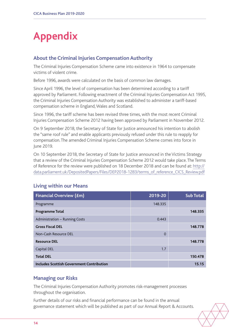## <span id="page-14-0"></span>**Appendix**

#### **About the Criminal Injuries Compensation Authority**

The Criminal Injuries Compensation Scheme came into existence in 1964 to compensate victims of violent crime.

Before 1996, awards were calculated on the basis of common law damages.

Since April 1996, the level of compensation has been determined according to a tariff approved by Parliament. Following enactment of the Criminal Injuries Compensation Act 1995, the Criminal Injuries Compensation Authority was established to administer a tariff-based compensation scheme in England, Wales and Scotland.

Since 1996, the tariff scheme has been revised three times, with the most recent Criminal Injuries Compensation Scheme 2012 having been approved by Parliament in November 2012.

On 9 September 2018, the Secretary of State for Justice announced his intention to abolish the "same roof rule" and enable applicants previously refused under this rule to reapply for compensation. The amended Criminal Injuries Compensation Scheme comes into force in June 2019.

On 10 September 2018, the Secretary of State for Justice announced in the Victims Strategy that a review of the Criminal Injuries Compensation Scheme 2012 would take place. The Terms of Reference for the review were published on 18 December 2018 and can be found at: [http://](http://data.parliament.uk/DepositedPapers/Files/DEP2018-1283/terms_of_reference_CICS_Review.pdf) [data.parliament.uk/DepositedPapers/Files/DEP2018-1283/terms\\_of\\_reference\\_CICS\\_Review.pdf](http://data.parliament.uk/DepositedPapers/Files/DEP2018-1283/terms_of_reference_CICS_Review.pdf)

| <b>Financial Overview (£m)</b>                   | 2019-20  | <b>Sub Total</b> |
|--------------------------------------------------|----------|------------------|
| Programme                                        | 148.335  |                  |
| <b>Programme Total</b>                           |          | 148.335          |
| Administration - Running Costs                   | 0.443    |                  |
| <b>Gross Fiscal DEL</b>                          |          | 148.778          |
| Non-Cash Resource DEL                            | $\Omega$ |                  |
| <b>Resource DEL</b>                              |          | 148.778          |
| Capital DEL                                      | 1.7      |                  |
| <b>Total DEL</b>                                 |          | 150.478          |
| <b>Includes Scottish Government Contribution</b> |          | 15.15            |

#### **Living within our Means**

#### **Managing our Risks**

The Criminal Injuries Compensation Authority promotes risk-management processes throughout the organisation.

Further details of our risks and financial performance can be found in the annual governance statement which will be published as part of our Annual Report & Accounts.